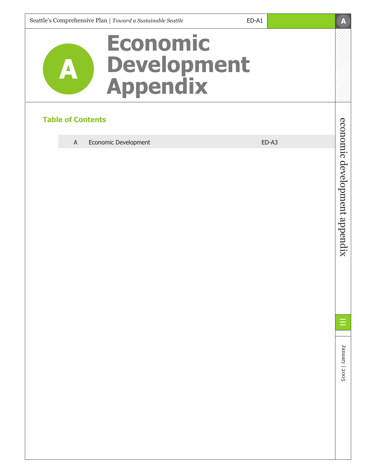# **Economic Development Appendix**

## **Table of Contents**

A

A Economic Development **ED-A3** 

economic development appendix economic development appendix

**A**

January | 2005 January | 2005

ED-A1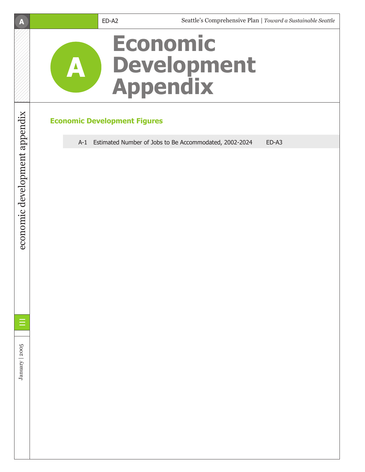## **A**



# **Economic Development Figures**

A-1 Estimated Number of Jobs to Be Accommodated, 2002-2024 ED-A3



economic development appendix

economic development appendix

January | 2005 January | 2005